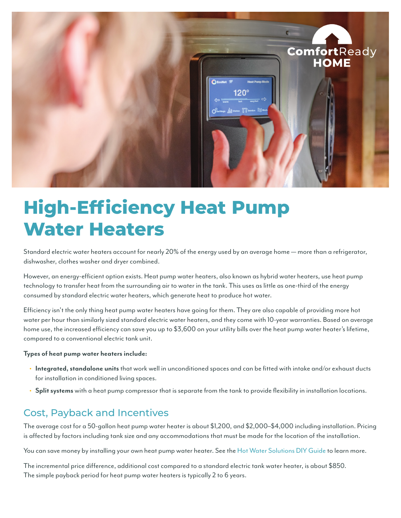

# **High-Efficiency Heat Pump Water Heaters**

Standard electric water heaters account for nearly 20% of the energy used by an average home — more than a refrigerator, dishwasher, clothes washer and dryer combined.

However, an energy-efficient option exists. Heat pump water heaters, also known as hybrid water heaters, use heat pump technology to transfer heat from the surrounding air to water in the tank. This uses as little as one-third of the energy consumed by standard electric water heaters, which generate heat to produce hot water.

Efficiency isn't the only thing heat pump water heaters have going for them. They are also capable of providing more hot water per hour than similarly sized standard electric water heaters, and they come with 10-year warranties. Based on average home use, the increased efficiency can save you up to \$3,600 on your utility bills over the heat pump water heater's lifetime, compared to a conventional electric tank unit.

#### **Types of heat pump water heaters include:**

- **• Integrated, standalone units** that work well in unconditioned spaces and can be fitted with intake and/or exhaust ducts for installation in conditioned living spaces.
- **• Split systems** with a heat pump compressor that is separate from the tank to provide flexibility in installation locations.

### Cost, Payback and Incentives

The average cost for a 50-gallon heat pump water heater is about \$1,200, and \$2,000–\$4,000 including installation. Pricing is affected by factors including tank size and any accommodations that must be made for the location of the installation.

You can save money by installing your own heat pump water heater. See the [Hot Water Solutions DIY Guide](https://hotwatersolutionsnw.org/assets/documents/uploads/HWS_DIY-Sheet_FNL.pdf) to learn more.

The incremental price difference, additional cost compared to a standard electric tank water heater, is about \$850. The simple payback period for heat pump water heaters is typically 2 to 6 years.